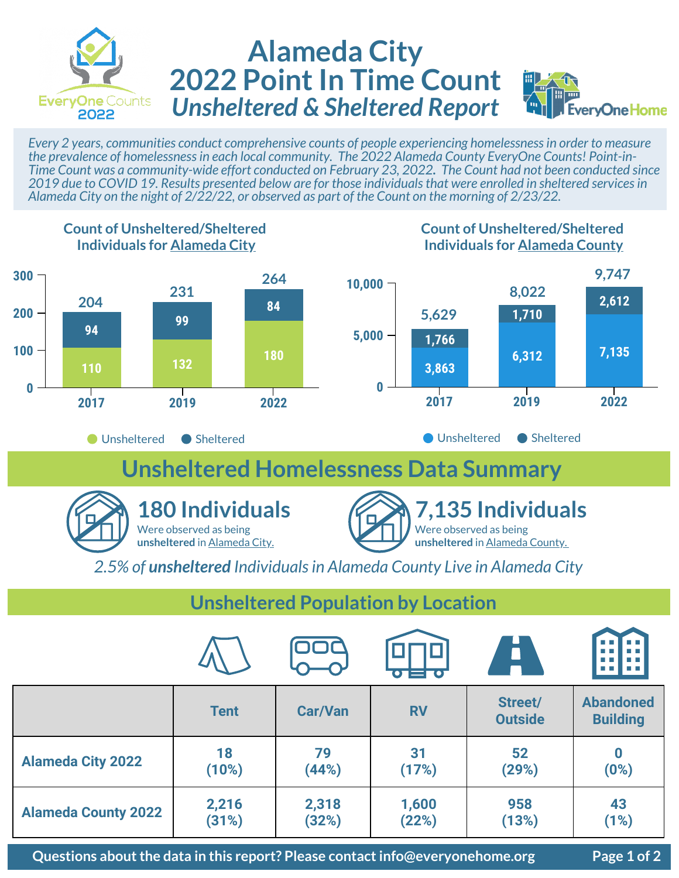

## **Alameda City 2022 Point In Time Count** *Unsheltered & Sheltered Report*



*Every 2 years, communities conduct comprehensive counts of people experiencing homelessness in order to measure the prevalence of homelessness in each local community. The 2022 Alameda County EveryOne Counts! Point-in-Time Count was a community-wide effort conducted on February 23, 2022. The Count had not been conducted since 2019 due to COVID 19. Results presented below are for those individuals that were enrolled in sheltered services in Alameda City on the night of 2/22/22, or observed as part of the Count on the morning of 2/23/22.* 



|                            |             |                |           | $\bullet$                 | . <del>.</del>                      |
|----------------------------|-------------|----------------|-----------|---------------------------|-------------------------------------|
|                            | <b>Tent</b> | <b>Car/Van</b> | <b>RV</b> | Street/<br><b>Outside</b> | <b>Abandoned</b><br><b>Building</b> |
| <b>Alameda City 2022</b>   | 18          | 79             | 31        | 52                        | 0                                   |
|                            | (10%)       | (44%)          | (17%)     | (29%)                     | (0%)                                |
| <b>Alameda County 2022</b> | 2,216       | 2,318          | 1,600     | 958                       | 43                                  |
|                            | (31%)       | (32%)          | (22%)     | (13%)                     | (1%)                                |

**Questions about the data in this report? Please contact info@everyonehome.org Page 1 of 2**